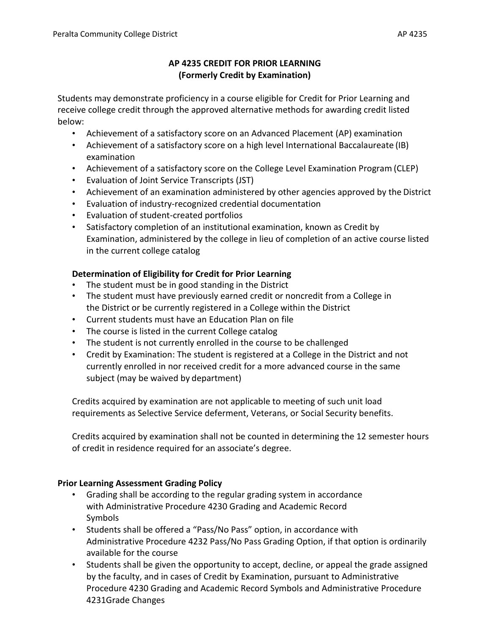## **AP 4235 CREDIT FOR PRIOR LEARNING (Formerly Credit by Examination)**

Students may demonstrate proficiency in a course eligible for Credit for Prior Learning and receive college credit through the approved alternative methods for awarding credit listed below:

- Achievement of a satisfactory score on an Advanced Placement (AP) examination
- Achievement of a satisfactory score on a high level International Baccalaureate (IB) examination
- Achievement of a satisfactory score on the College Level Examination Program (CLEP)
- Evaluation of Joint Service Transcripts (JST)
- Achievement of an examination administered by other agencies approved by the District
- Evaluation of industry-recognized credential documentation
- Evaluation of student-created portfolios
- Satisfactory completion of an institutional examination, known as Credit by Examination, administered by the college in lieu of completion of an active course listed in the current college catalog

# **Determination of Eligibility for Credit for Prior Learning**

- The student must be in good standing in the District
- The student must have previously earned credit or noncredit from a College in the District or be currently registered in a College within the District
- Current students must have an Education Plan on file
- The course is listed in the current College catalog
- The student is not currently enrolled in the course to be challenged
- Credit by Examination: The student is registered at a College in the District and not currently enrolled in nor received credit for a more advanced course in the same subject (may be waived by department)

Credits acquired by examination are not applicable to meeting of such unit load requirements as Selective Service deferment, Veterans, or Social Security benefits.

Credits acquired by examination shall not be counted in determining the 12 semester hours of credit in residence required for an associate's degree.

## **Prior Learning Assessment Grading Policy**

- Grading shall be according to the regular grading system in accordance with Administrative Procedure 4230 Grading and Academic Record Symbols
- Students shall be offered a "Pass/No Pass" option, in accordance with Administrative Procedure 4232 Pass/No Pass Grading Option, if that option is ordinarily available for the course
- Students shall be given the opportunity to accept, decline, or appeal the grade assigned by the faculty, and in cases of Credit by Examination, pursuant to Administrative Procedure 4230 Grading and Academic Record Symbols and Administrative Procedure 4231Grade Changes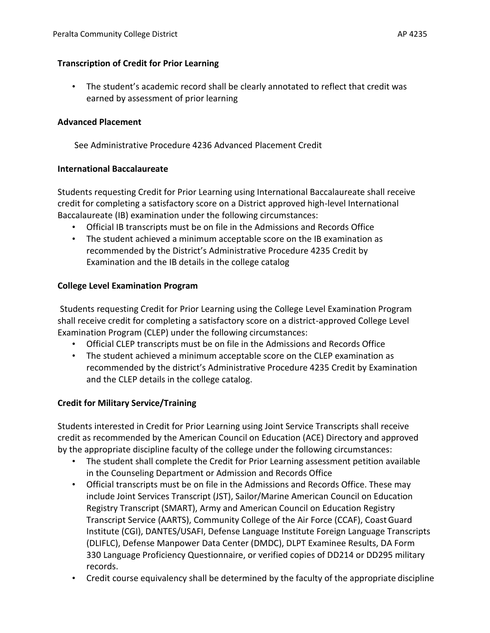### **Transcription of Credit for Prior Learning**

• The student's academic record shall be clearly annotated to reflect that credit was earned by assessment of prior learning

#### **Advanced Placement**

See Administrative Procedure 4236 Advanced Placement Credit

### **International Baccalaureate**

Students requesting Credit for Prior Learning using International Baccalaureate shall receive credit for completing a satisfactory score on a District approved high-level International Baccalaureate (IB) examination under the following circumstances:

- Official IB transcripts must be on file in the Admissions and Records Office
- The student achieved a minimum acceptable score on the IB examination as recommended by the District's Administrative Procedure 4235 Credit by Examination and the IB details in the college catalog

### **College Level Examination Program**

Students requesting Credit for Prior Learning using the College Level Examination Program shall receive credit for completing a satisfactory score on a district-approved College Level Examination Program (CLEP) under the following circumstances:

- Official CLEP transcripts must be on file in the Admissions and Records Office
- The student achieved a minimum acceptable score on the CLEP examination as recommended by the district's Administrative Procedure 4235 Credit by Examination and the CLEP details in the college catalog.

## **Credit for Military Service/Training**

Students interested in Credit for Prior Learning using Joint Service Transcripts shall receive credit as recommended by the American Council on Education (ACE) Directory and approved by the appropriate discipline faculty of the college under the following circumstances:

- The student shall complete the Credit for Prior Learning assessment petition available in the Counseling Department or Admission and Records Office
- Official transcripts must be on file in the Admissions and Records Office. These may include Joint Services Transcript (JST), Sailor/Marine American Council on Education Registry Transcript (SMART), Army and American Council on Education Registry Transcript Service (AARTS), Community College of the Air Force (CCAF), CoastGuard Institute (CGI), DANTES/USAFI, Defense Language Institute Foreign Language Transcripts (DLIFLC), Defense Manpower Data Center (DMDC), DLPT Examinee Results, DA Form 330 Language Proficiency Questionnaire, or verified copies of DD214 or DD295 military records.
- Credit course equivalency shall be determined by the faculty of the appropriate discipline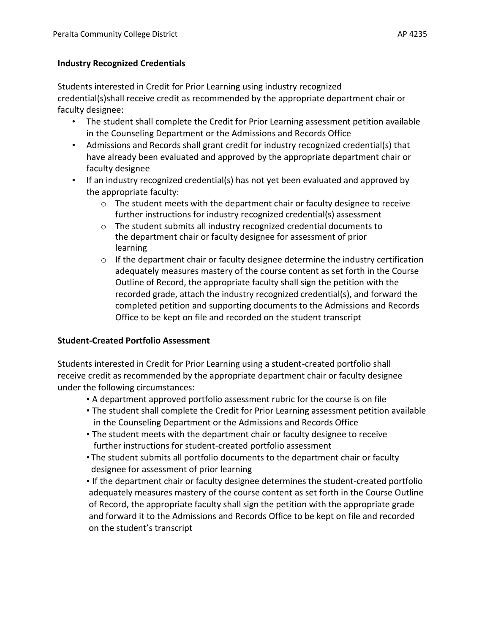#### **Industry Recognized Credentials**

Students interested in Credit for Prior Learning using industry recognized credential(s)shall receive credit as recommended by the appropriate department chair or faculty designee:

- The student shall complete the Credit for Prior Learning assessment petition available in the Counseling Department or the Admissions and Records Office
- Admissions and Records shall grant credit for industry recognized credential(s) that have already been evaluated and approved by the appropriate department chair or faculty designee
- If an industry recognized credential(s) has not yet been evaluated and approved by the appropriate faculty:
	- $\circ$  The student meets with the department chair or faculty designee to receive further instructions for industry recognized credential(s) assessment
	- o The student submits all industry recognized credential documents to the department chair or faculty designee for assessment of prior learning
	- $\circ$  If the department chair or faculty designee determine the industry certification adequately measures mastery of the course content as set forth in the Course Outline of Record, the appropriate faculty shall sign the petition with the recorded grade, attach the industry recognized credential(s), and forward the completed petition and supporting documents to the Admissions and Records Office to be kept on file and recorded on the student transcript

## **Student-Created Portfolio Assessment**

Students interested in Credit for Prior Learning using a student-created portfolio shall receive credit as recommended by the appropriate department chair or faculty designee under the following circumstances:

- A department approved portfolio assessment rubric for the course is on file
- The student shall complete the Credit for Prior Learning assessment petition available in the Counseling Department or the Admissions and Records Office
- The student meets with the department chair or faculty designee to receive further instructions for student-created portfolio assessment
- The student submits all portfolio documents to the department chair or faculty designee for assessment of prior learning
- If the department chair or faculty designee determines the student-created portfolio adequately measures mastery of the course content as set forth in the Course Outline of Record, the appropriate faculty shall sign the petition with the appropriate grade and forward it to the Admissions and Records Office to be kept on file and recorded on the student's transcript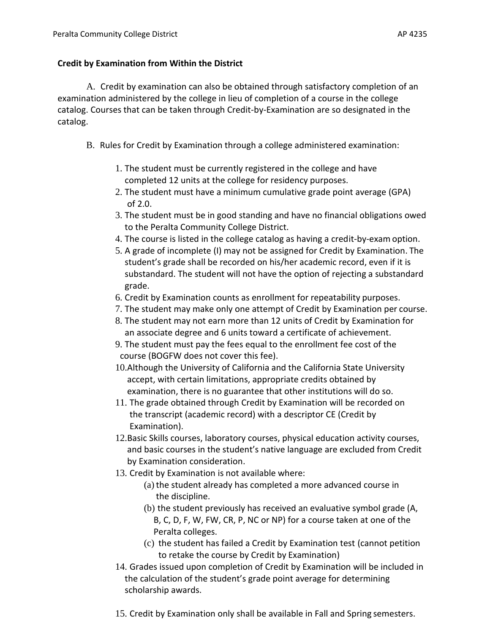### **Credit by Examination from Within the District**

A. Credit by examination can also be obtained through satisfactory completion of an examination administered by the college in lieu of completion of a course in the college catalog. Courses that can be taken through Credit-by-Examination are so designated in the catalog.

- B. Rules for Credit by Examination through a college administered examination:
	- 1. The student must be currently registered in the college and have completed 12 units at the college for residency purposes.
	- 2. The student must have a minimum cumulative grade point average (GPA) of 2.0.
	- 3. The student must be in good standing and have no financial obligations owed to the Peralta Community College District.
	- 4. The course is listed in the college catalog as having a credit-by-exam option.
	- 5. A grade of incomplete (I) may not be assigned for Credit by Examination. The student's grade shall be recorded on his/her academic record, even if it is substandard. The student will not have the option of rejecting a substandard grade.
	- 6. Credit by Examination counts as enrollment for repeatability purposes.
	- 7. The student may make only one attempt of Credit by Examination per course.
	- 8. The student may not earn more than 12 units of Credit by Examination for an associate degree and 6 units toward a certificate of achievement.
	- 9. The student must pay the fees equal to the enrollment fee cost of the course (BOGFW does not cover this fee).
	- 10.Although the University of California and the California State University accept, with certain limitations, appropriate credits obtained by examination, there is no guarantee that other institutions will do so.
	- 11. The grade obtained through Credit by Examination will be recorded on the transcript (academic record) with a descriptor CE (Credit by Examination).
	- 12.Basic Skills courses, laboratory courses, physical education activity courses, and basic courses in the student's native language are excluded from Credit by Examination consideration.
	- 13. Credit by Examination is not available where:
		- (a) the student already has completed a more advanced course in the discipline.
		- (b) the student previously has received an evaluative symbol grade (A, B, C, D, F, W, FW, CR, P, NC or NP) for a course taken at one of the Peralta colleges.
		- (c) the student has failed a Credit by Examination test (cannot petition to retake the course by Credit by Examination)
	- 14. Grades issued upon completion of Credit by Examination will be included in the calculation of the student's grade point average for determining scholarship awards.
	- 15. Credit by Examination only shall be available in Fall and Spring semesters.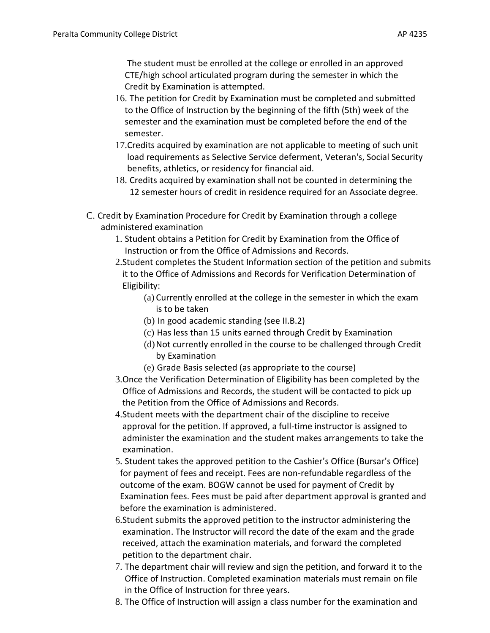The student must be enrolled at the college or enrolled in an approved CTE/high school articulated program during the semester in which the Credit by Examination is attempted.

- 16. The petition for Credit by Examination must be completed and submitted to the Office of Instruction by the beginning of the fifth (5th) week of the semester and the examination must be completed before the end of the semester.
- 17.Credits acquired by examination are not applicable to meeting of such unit load requirements as Selective Service deferment, Veteran's, Social Security benefits, athletics, or residency for financial aid.
- 18. Credits acquired by examination shall not be counted in determining the 12 semester hours of credit in residence required for an Associate degree.
- C. Credit by Examination Procedure for Credit by Examination through a college administered examination
	- 1. Student obtains a Petition for Credit by Examination from the Office of Instruction or from the Office of Admissions and Records.
	- 2.Student completes the Student Information section of the petition and submits it to the Office of Admissions and Records for Verification Determination of Eligibility:
		- (a) Currently enrolled at the college in the semester in which the exam is to be taken
		- (b) In good academic standing (see II.B.2)
		- (c) Has less than 15 units earned through Credit by Examination
		- (d)Not currently enrolled in the course to be challenged through Credit by Examination
		- (e) Grade Basis selected (as appropriate to the course)
	- 3.Once the Verification Determination of Eligibility has been completed by the Office of Admissions and Records, the student will be contacted to pick up the Petition from the Office of Admissions and Records.
	- 4.Student meets with the department chair of the discipline to receive approval for the petition. If approved, a full-time instructor is assigned to administer the examination and the student makes arrangements to take the examination.
	- 5. Student takes the approved petition to the Cashier's Office (Bursar's Office) for payment of fees and receipt. Fees are non-refundable regardless of the outcome of the exam. BOGW cannot be used for payment of Credit by Examination fees. Fees must be paid after department approval is granted and before the examination is administered.
	- 6.Student submits the approved petition to the instructor administering the examination. The Instructor will record the date of the exam and the grade received, attach the examination materials, and forward the completed petition to the department chair.
	- 7. The department chair will review and sign the petition, and forward it to the Office of Instruction. Completed examination materials must remain on file in the Office of Instruction for three years.
	- 8. The Office of Instruction will assign a class number for the examination and